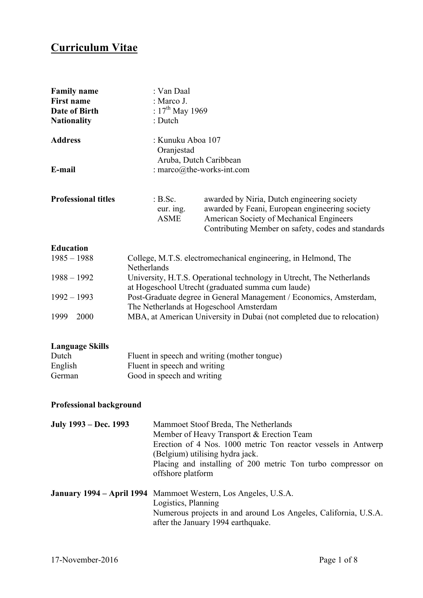# **Curriculum Vitae**

| <b>Family name</b><br><b>First name</b><br>Date of Birth<br><b>Nationality</b> | : Van Daal<br>: Marco J.<br>: $17^{th}$ May 1969<br>: Dutch |                                                                                                                                                                                                 |
|--------------------------------------------------------------------------------|-------------------------------------------------------------|-------------------------------------------------------------------------------------------------------------------------------------------------------------------------------------------------|
| <b>Address</b><br>E-mail                                                       | : Kunuku Aboa 107<br>Oranjestad                             | Aruba, Dutch Caribbean<br>: marco $@$ the-works-int.com                                                                                                                                         |
|                                                                                |                                                             |                                                                                                                                                                                                 |
| <b>Professional titles</b>                                                     | B.Sc.<br>eur. ing.<br><b>ASME</b>                           | awarded by Niria, Dutch engineering society<br>awarded by Feani, European engineering society<br>American Society of Mechanical Engineers<br>Contributing Member on safety, codes and standards |

### **Education**

| $1985 - 1988$ | College, M.T.S. electromechanical engineering, in Helmond, The         |
|---------------|------------------------------------------------------------------------|
|               | <b>Netherlands</b>                                                     |
| $1988 - 1992$ | University, H.T.S. Operational technology in Utrecht, The Netherlands  |
|               | at Hogeschool Utrecht (graduated summa cum laude)                      |
| $1992 - 1993$ | Post-Graduate degree in General Management / Economics, Amsterdam,     |
|               | The Netherlands at Hogeschool Amsterdam                                |
| 1999<br>2000  | MBA, at American University in Dubai (not completed due to relocation) |

#### **Language Skills**

| Dutch   | Fluent in speech and writing (mother tongue) |
|---------|----------------------------------------------|
| English | Fluent in speech and writing                 |
| German  | Good in speech and writing                   |

## **Professional background**

| July 1993 – Dec. 1993 | Mammoet Stoof Breda, The Netherlands<br>Member of Heavy Transport & Erection Team<br>Erection of 4 Nos. 1000 metric Ton reactor vessels in Antwerp<br>(Belgium) utilising hydra jack.<br>Placing and installing of 200 metric Ton turbo compressor on<br>offshore platform |
|-----------------------|----------------------------------------------------------------------------------------------------------------------------------------------------------------------------------------------------------------------------------------------------------------------------|
|                       | <b>January 1994 – April 1994</b> Mammoet Western, Los Angeles, U.S.A.<br>Logistics, Planning<br>Numerous projects in and around Los Angeles, California, U.S.A.<br>after the January 1994 earthquake.                                                                      |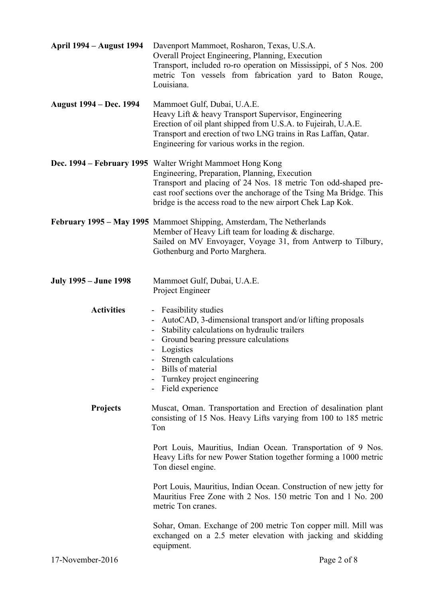| <b>April 1994 – August 1994</b> | Davenport Mammoet, Rosharon, Texas, U.S.A.<br>Overall Project Engineering, Planning, Execution<br>Transport, included ro-ro operation on Mississippi, of 5 Nos. 200<br>metric Ton vessels from fabrication yard to Baton Rouge,<br>Louisiana.                                                                    |
|---------------------------------|------------------------------------------------------------------------------------------------------------------------------------------------------------------------------------------------------------------------------------------------------------------------------------------------------------------|
| <b>August 1994 – Dec. 1994</b>  | Mammoet Gulf, Dubai, U.A.E.<br>Heavy Lift & heavy Transport Supervisor, Engineering<br>Erection of oil plant shipped from U.S.A. to Fujeirah, U.A.E.<br>Transport and erection of two LNG trains in Ras Laffan, Qatar.<br>Engineering for various works in the region.                                           |
|                                 | Dec. 1994 – February 1995 Walter Wright Mammoet Hong Kong<br>Engineering, Preparation, Planning, Execution<br>Transport and placing of 24 Nos. 18 metric Ton odd-shaped pre-<br>cast roof sections over the anchorage of the Tsing Ma Bridge. This<br>bridge is the access road to the new airport Chek Lap Kok. |
|                                 | February 1995 – May 1995 Mammoet Shipping, Amsterdam, The Netherlands<br>Member of Heavy Lift team for loading & discharge.<br>Sailed on MV Envoyager, Voyage 31, from Antwerp to Tilbury,<br>Gothenburg and Porto Marghera.                                                                                     |
| <b>July 1995 – June 1998</b>    | Mammoet Gulf, Dubai, U.A.E.<br>Project Engineer                                                                                                                                                                                                                                                                  |
| <b>Activities</b>               | - Feasibility studies<br>AutoCAD, 3-dimensional transport and/or lifting proposals<br>Stability calculations on hydraulic trailers<br>Ground bearing pressure calculations<br>Logistics<br>Strength calculations<br>Bills of material<br>Turnkey project engineering<br>Field experience                         |
| <b>Projects</b>                 | Muscat, Oman. Transportation and Erection of desalination plant<br>consisting of 15 Nos. Heavy Lifts varying from 100 to 185 metric<br>Ton                                                                                                                                                                       |
|                                 | Port Louis, Mauritius, Indian Ocean. Transportation of 9 Nos.<br>Heavy Lifts for new Power Station together forming a 1000 metric<br>Ton diesel engine.                                                                                                                                                          |
|                                 | Port Louis, Mauritius, Indian Ocean. Construction of new jetty for<br>Mauritius Free Zone with 2 Nos. 150 metric Ton and 1 No. 200<br>metric Ton cranes.                                                                                                                                                         |
|                                 | Sohar, Oman. Exchange of 200 metric Ton copper mill. Mill was<br>exchanged on a 2.5 meter elevation with jacking and skidding<br>equipment.                                                                                                                                                                      |
| 17-November-2016                | Page 2 of 8                                                                                                                                                                                                                                                                                                      |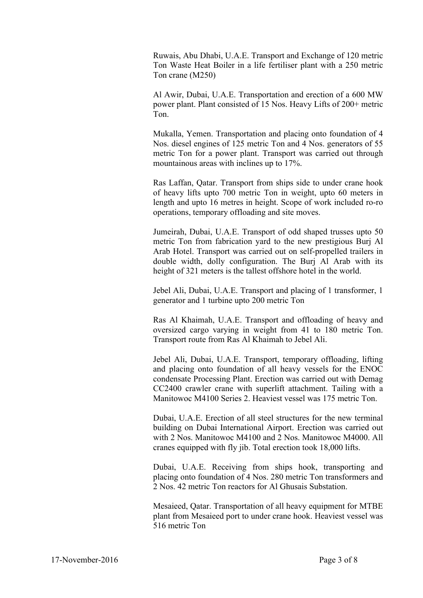Ruwais, Abu Dhabi, U.A.E. Transport and Exchange of 120 metric Ton Waste Heat Boiler in a life fertiliser plant with a 250 metric Ton crane (M250)

Al Awir, Dubai, U.A.E. Transportation and erection of a 600 MW power plant. Plant consisted of 15 Nos. Heavy Lifts of 200+ metric Ton.

Mukalla, Yemen. Transportation and placing onto foundation of 4 Nos. diesel engines of 125 metric Ton and 4 Nos. generators of 55 metric Ton for a power plant. Transport was carried out through mountainous areas with inclines up to 17%.

Ras Laffan, Qatar. Transport from ships side to under crane hook of heavy lifts upto 700 metric Ton in weight, upto 60 meters in length and upto 16 metres in height. Scope of work included ro-ro operations, temporary offloading and site moves.

Jumeirah, Dubai, U.A.E. Transport of odd shaped trusses upto 50 metric Ton from fabrication yard to the new prestigious Burj Al Arab Hotel. Transport was carried out on self-propelled trailers in double width, dolly configuration. The Burj Al Arab with its height of 321 meters is the tallest offshore hotel in the world.

Jebel Ali, Dubai, U.A.E. Transport and placing of 1 transformer, 1 generator and 1 turbine upto 200 metric Ton

Ras Al Khaimah, U.A.E. Transport and offloading of heavy and oversized cargo varying in weight from 41 to 180 metric Ton. Transport route from Ras Al Khaimah to Jebel Ali.

Jebel Ali, Dubai, U.A.E. Transport, temporary offloading, lifting and placing onto foundation of all heavy vessels for the ENOC condensate Processing Plant. Erection was carried out with Demag CC2400 crawler crane with superlift attachment. Tailing with a Manitowoc M4100 Series 2. Heaviest vessel was 175 metric Ton.

Dubai, U.A.E. Erection of all steel structures for the new terminal building on Dubai International Airport. Erection was carried out with 2 Nos. Manitowoc M4100 and 2 Nos. Manitowoc M4000. All cranes equipped with fly jib. Total erection took 18,000 lifts.

Dubai, U.A.E. Receiving from ships hook, transporting and placing onto foundation of 4 Nos. 280 metric Ton transformers and 2 Nos. 42 metric Ton reactors for Al Ghusais Substation.

Mesaieed, Qatar. Transportation of all heavy equipment for MTBE plant from Mesaieed port to under crane hook. Heaviest vessel was 516 metric Ton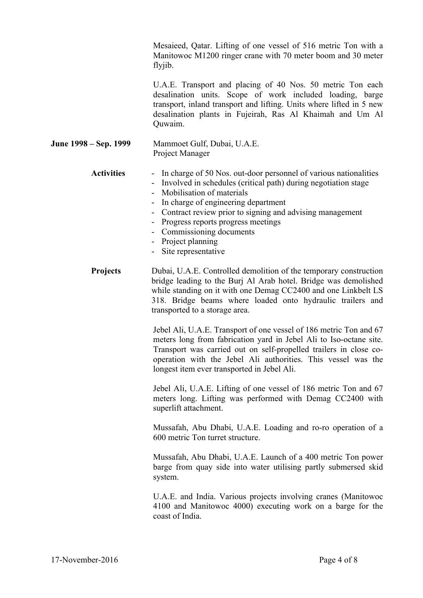Mesaieed, Qatar. Lifting of one vessel of 516 metric Ton with a Manitowoc M1200 ringer crane with 70 meter boom and 30 meter flyjib.

U.A.E. Transport and placing of 40 Nos. 50 metric Ton each desalination units. Scope of work included loading, barge transport, inland transport and lifting. Units where lifted in 5 new desalination plants in Fujeirah, Ras Al Khaimah and Um Al Quwaim.

**June 1998 – Sep. 1999** Mammoet Gulf, Dubai, U.A.E. Project Manager

**Activities** - In charge of 50 Nos. out-door personnel of various nationalities

- Involved in schedules (critical path) during negotiation stage
	- Mobilisation of materials
	- In charge of engineering department
	- Contract review prior to signing and advising management
- Progress reports progress meetings
- Commissioning documents
- Project planning
- Site representative
- **Projects** Dubai, U.A.E. Controlled demolition of the temporary construction bridge leading to the Burj Al Arab hotel. Bridge was demolished while standing on it with one Demag CC2400 and one Linkbelt LS 318. Bridge beams where loaded onto hydraulic trailers and transported to a storage area.

Jebel Ali, U.A.E. Transport of one vessel of 186 metric Ton and 67 meters long from fabrication yard in Jebel Ali to Iso-octane site. Transport was carried out on self-propelled trailers in close cooperation with the Jebel Ali authorities. This vessel was the longest item ever transported in Jebel Ali.

Jebel Ali, U.A.E. Lifting of one vessel of 186 metric Ton and 67 meters long. Lifting was performed with Demag CC2400 with superlift attachment.

Mussafah, Abu Dhabi, U.A.E. Loading and ro-ro operation of a 600 metric Ton turret structure.

Mussafah, Abu Dhabi, U.A.E. Launch of a 400 metric Ton power barge from quay side into water utilising partly submersed skid system.

U.A.E. and India. Various projects involving cranes (Manitowoc 4100 and Manitowoc 4000) executing work on a barge for the coast of India.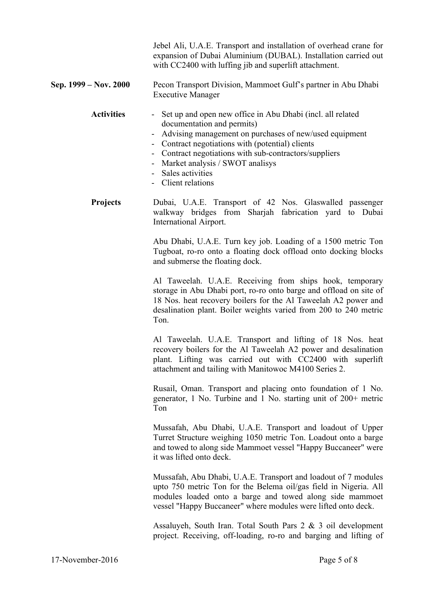Jebel Ali, U.A.E. Transport and installation of overhead crane for expansion of Dubai Aluminium (DUBAL). Installation carried out with CC2400 with luffing jib and superlift attachment.

**Sep. 1999 – Nov. 2000** Pecon Transport Division, Mammoet Gulf's partner in Abu Dhabi Executive Manager

#### **Activities** - Set up and open new office in Abu Dhabi (incl. all related documentation and permits)

- Advising management on purchases of new/used equipment
- Contract negotiations with (potential) clients
- Contract negotiations with sub-contractors/suppliers
- Market analysis / SWOT analisys
- Sales activities
- Client relations

**Projects** Dubai, U.A.E. Transport of 42 Nos. Glaswalled passenger walkway bridges from Sharjah fabrication yard to Dubai International Airport.

> Abu Dhabi, U.A.E. Turn key job. Loading of a 1500 metric Ton Tugboat, ro-ro onto a floating dock offload onto docking blocks and submerse the floating dock.

> Al Taweelah. U.A.E. Receiving from ships hook, temporary storage in Abu Dhabi port, ro-ro onto barge and offload on site of 18 Nos. heat recovery boilers for the Al Taweelah A2 power and desalination plant. Boiler weights varied from 200 to 240 metric Ton.

> Al Taweelah. U.A.E. Transport and lifting of 18 Nos. heat recovery boilers for the Al Taweelah A2 power and desalination plant. Lifting was carried out with CC2400 with superlift attachment and tailing with Manitowoc M4100 Series 2.

> Rusail, Oman. Transport and placing onto foundation of 1 No. generator, 1 No. Turbine and 1 No. starting unit of 200+ metric Ton

> Mussafah, Abu Dhabi, U.A.E. Transport and loadout of Upper Turret Structure weighing 1050 metric Ton. Loadout onto a barge and towed to along side Mammoet vessel "Happy Buccaneer" were it was lifted onto deck.

> Mussafah, Abu Dhabi, U.A.E. Transport and loadout of 7 modules upto 750 metric Ton for the Belema oil/gas field in Nigeria. All modules loaded onto a barge and towed along side mammoet vessel "Happy Buccaneer" where modules were lifted onto deck.

> Assaluyeh, South Iran. Total South Pars 2 & 3 oil development project. Receiving, off-loading, ro-ro and barging and lifting of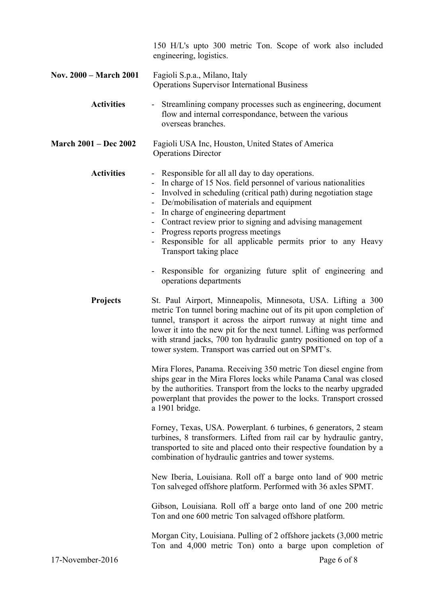|                              | 150 H/L's upto 300 metric Ton. Scope of work also included<br>engineering, logistics.                                                                                                                                                                                                                                                                                                                                                                                      |
|------------------------------|----------------------------------------------------------------------------------------------------------------------------------------------------------------------------------------------------------------------------------------------------------------------------------------------------------------------------------------------------------------------------------------------------------------------------------------------------------------------------|
| Nov. 2000 – March 2001       | Fagioli S.p.a., Milano, Italy<br><b>Operations Supervisor International Business</b>                                                                                                                                                                                                                                                                                                                                                                                       |
| <b>Activities</b>            | - Streamlining company processes such as engineering, document<br>flow and internal correspondance, between the various<br>overseas branches.                                                                                                                                                                                                                                                                                                                              |
| <b>March 2001 – Dec 2002</b> | Fagioli USA Inc, Houston, United States of America<br><b>Operations Director</b>                                                                                                                                                                                                                                                                                                                                                                                           |
| <b>Activities</b>            | - Responsible for all all day to day operations.<br>In charge of 15 Nos. field personnel of various nationalities<br>Involved in scheduling (critical path) during negotiation stage<br>De/mobilisation of materials and equipment<br>- In charge of engineering department<br>- Contract review prior to signing and advising management<br>- Progress reports progress meetings<br>- Responsible for all applicable permits prior to any Heavy<br>Transport taking place |
|                              | Responsible for organizing future split of engineering and<br>operations departments                                                                                                                                                                                                                                                                                                                                                                                       |
| <b>Projects</b>              | St. Paul Airport, Minneapolis, Minnesota, USA. Lifting a 300<br>metric Ton tunnel boring machine out of its pit upon completion of<br>tunnel, transport it across the airport runway at night time and<br>lower it into the new pit for the next tunnel. Lifting was performed<br>with strand jacks, 700 ton hydraulic gantry positioned on top of a<br>tower system. Transport was carried out on SPMT's.                                                                 |
|                              | Mira Flores, Panama. Receiving 350 metric Ton diesel engine from<br>ships gear in the Mira Flores locks while Panama Canal was closed<br>by the authorities. Transport from the locks to the nearby upgraded<br>powerplant that provides the power to the locks. Transport crossed<br>a 1901 bridge.                                                                                                                                                                       |
|                              | Forney, Texas, USA. Powerplant. 6 turbines, 6 generators, 2 steam<br>turbines, 8 transformers. Lifted from rail car by hydraulic gantry,<br>transported to site and placed onto their respective foundation by a<br>combination of hydraulic gantries and tower systems.                                                                                                                                                                                                   |
|                              | New Iberia, Louisiana. Roll off a barge onto land of 900 metric<br>Ton salveged offshore platform. Performed with 36 axles SPMT.                                                                                                                                                                                                                                                                                                                                           |
|                              | Gibson, Louisiana. Roll off a barge onto land of one 200 metric<br>Ton and one 600 metric Ton salvaged offshore platform.                                                                                                                                                                                                                                                                                                                                                  |
|                              | Morgan City, Louisiana. Pulling of 2 offshore jackets (3,000 metric<br>Ton and 4,000 metric Ton) onto a barge upon completion of                                                                                                                                                                                                                                                                                                                                           |
| 17-November-2016             | Page 6 of 8                                                                                                                                                                                                                                                                                                                                                                                                                                                                |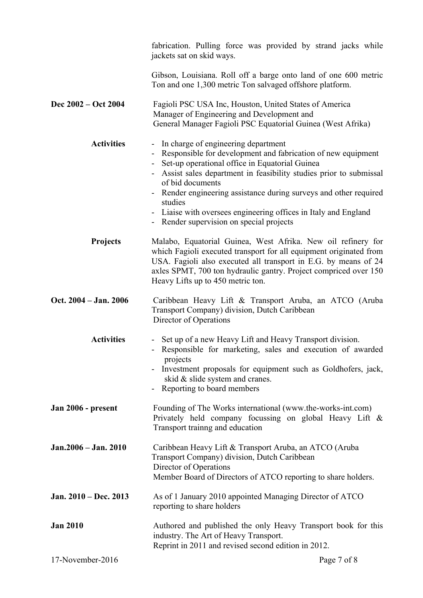|                       | fabrication. Pulling force was provided by strand jacks while<br>jackets sat on skid ways.                                                                                                                                                                                                                                                                                                                                                          |
|-----------------------|-----------------------------------------------------------------------------------------------------------------------------------------------------------------------------------------------------------------------------------------------------------------------------------------------------------------------------------------------------------------------------------------------------------------------------------------------------|
|                       | Gibson, Louisiana. Roll off a barge onto land of one 600 metric<br>Ton and one 1,300 metric Ton salvaged offshore platform.                                                                                                                                                                                                                                                                                                                         |
| Dec 2002 – Oct 2004   | Fagioli PSC USA Inc, Houston, United States of America<br>Manager of Engineering and Development and<br>General Manager Fagioli PSC Equatorial Guinea (West Afrika)                                                                                                                                                                                                                                                                                 |
| <b>Activities</b>     | - In charge of engineering department<br>- Responsible for development and fabrication of new equipment<br>- Set-up operational office in Equatorial Guinea<br>- Assist sales department in feasibility studies prior to submissal<br>of bid documents<br>Render engineering assistance during surveys and other required<br>studies<br>- Liaise with oversees engineering offices in Italy and England<br>- Render supervision on special projects |
| <b>Projects</b>       | Malabo, Equatorial Guinea, West Afrika. New oil refinery for<br>which Fagioli executed transport for all equipment originated from<br>USA. Fagioli also executed all transport in E.G. by means of 24<br>axles SPMT, 700 ton hydraulic gantry. Project compriced over 150<br>Heavy Lifts up to 450 metric ton.                                                                                                                                      |
| Oct. 2004 - Jan. 2006 | Caribbean Heavy Lift & Transport Aruba, an ATCO (Aruba<br>Transport Company) division, Dutch Caribbean<br>Director of Operations                                                                                                                                                                                                                                                                                                                    |
| <b>Activities</b>     | - Set up of a new Heavy Lift and Heavy Transport division.<br>- Responsible for marketing, sales and execution of awarded<br>projects<br>Investment proposals for equipment such as Goldhofers, jack,<br>skid & slide system and cranes.<br>Reporting to board members                                                                                                                                                                              |
| Jan 2006 - present    | Founding of The Works international (www.the-works-int.com)<br>Privately held company focussing on global Heavy Lift &<br>Transport training and education                                                                                                                                                                                                                                                                                          |
| Jan. 2006 – Jan. 2010 | Caribbean Heavy Lift & Transport Aruba, an ATCO (Aruba<br>Transport Company) division, Dutch Caribbean<br>Director of Operations<br>Member Board of Directors of ATCO reporting to share holders.                                                                                                                                                                                                                                                   |
| Jan. 2010 – Dec. 2013 | As of 1 January 2010 appointed Managing Director of ATCO<br>reporting to share holders                                                                                                                                                                                                                                                                                                                                                              |
| <b>Jan 2010</b>       | Authored and published the only Heavy Transport book for this<br>industry. The Art of Heavy Transport.<br>Reprint in 2011 and revised second edition in 2012.                                                                                                                                                                                                                                                                                       |
| 17-November-2016      | Page 7 of 8                                                                                                                                                                                                                                                                                                                                                                                                                                         |